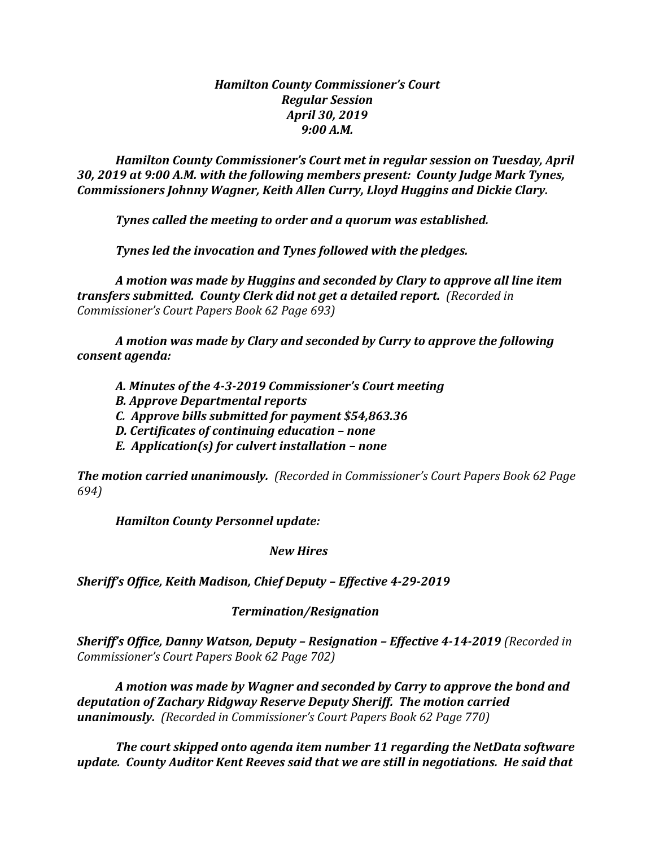## *Hamilton County Commissioner's Court Regular Session April 30, 2019 9:00 A.M.*

*Hamilton County Commissioner's Court met in regular session on Tuesday, April 30, 2019 at 9:00 A.M. with the following members present: County Judge Mark Tynes, Commissioners Johnny Wagner, Keith Allen Curry, Lloyd Huggins and Dickie Clary.*

*Tynes called the meeting to order and a quorum was established.*

*Tynes led the invocation and Tynes followed with the pledges.*

*A motion was made by Huggins and seconded by Clary to approve all line item transfers submitted. County Clerk did not get a detailed report. (Recorded in Commissioner's Court Papers Book 62 Page 693)*

*A motion was made by Clary and seconded by Curry to approve the following consent agenda:*

- *A. Minutes of the 4-3-2019 Commissioner's Court meeting*
- *B. Approve Departmental reports*
- *C. Approve bills submitted for payment \$54,863.36*
- *D. Certificates of continuing education – none*
- *E. Application(s) for culvert installation – none*

*The motion carried unanimously. (Recorded in Commissioner's Court Papers Book 62 Page 694)*

*Hamilton County Personnel update:*

*New Hires*

*Sheriff's Office, Keith Madison, Chief Deputy – Effective 4-29-2019*

## *Termination/Resignation*

*Sheriff's Office, Danny Watson, Deputy – Resignation – Effective 4-14-2019 (Recorded in Commissioner's Court Papers Book 62 Page 702)*

*A motion was made by Wagner and seconded by Carry to approve the bond and deputation of Zachary Ridgway Reserve Deputy Sheriff. The motion carried unanimously. (Recorded in Commissioner's Court Papers Book 62 Page 770)*

*The court skipped onto agenda item number 11 regarding the NetData software update. County Auditor Kent Reeves said that we are still in negotiations. He said that*